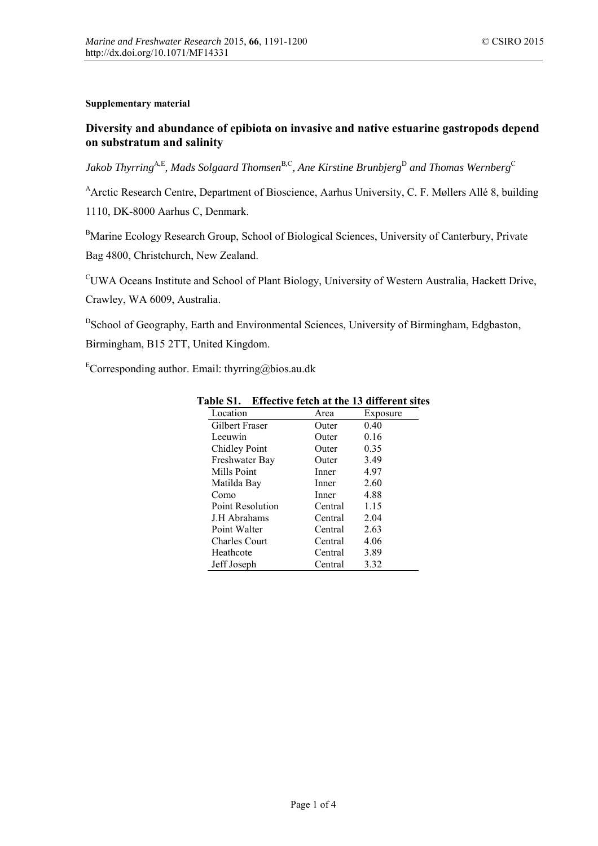#### **Supplementary material**

# **Diversity and abundance of epibiota on invasive and native estuarine gastropods depend on substratum and salinity**

*Jakob Thyrring*A,E*, Mads Solgaard Thomsen*<sup>B</sup>*,*<sup>C</sup> *, Ane Kirstine Brunbjerg*<sup>D</sup> *and Thomas Wernberg*<sup>C</sup>

<sup>A</sup>Arctic Research Centre, Department of Bioscience, Aarhus University, C. F. Møllers Allé 8, building 1110, DK-8000 Aarhus C, Denmark.

<sup>B</sup>Marine Ecology Research Group, School of Biological Sciences, University of Canterbury, Private Bag 4800, Christchurch, New Zealand.

<sup>C</sup>UWA Oceans Institute and School of Plant Biology, University of Western Australia, Hackett Drive, Crawley, WA 6009, Australia.

<sup>D</sup>School of Geography, Earth and Environmental Sciences, University of Birmingham, Edgbaston, Birmingham, B15 2TT, United Kingdom.

ECorresponding author. Email: thyrring@bios.au.dk

| Location             | Area    | Exposure |
|----------------------|---------|----------|
| Gilbert Fraser       | Outer   | 0.40     |
| Leeuwin              | Outer   | 0.16     |
| <b>Chidley Point</b> | Outer   | 0.35     |
| Freshwater Bay       | Outer   | 3.49     |
| Mills Point          | Inner   | 4.97     |
| Matilda Bay          | Inner   | 2.60     |
| Como                 | Inner   | 4.88     |
| Point Resolution     | Central | 1.15     |
| J.H Abrahams         | Central | 2.04     |
| Point Walter         | Central | 2.63     |
| Charles Court        | Central | 4.06     |
| Heathcote            | Central | 3.89     |
| Jeff Joseph          | Central | 3.32     |

### **Table S1. Effective fetch at the 13 different sites**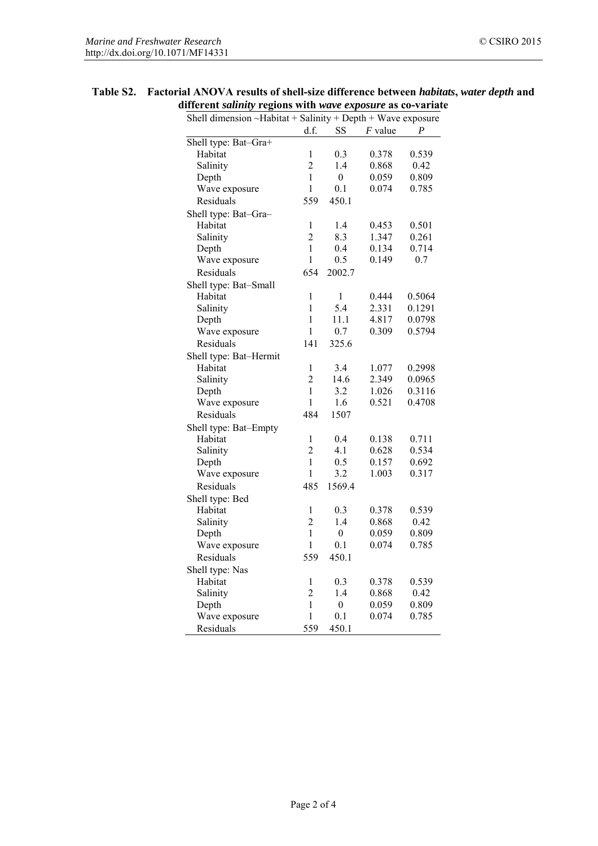| Shell dimension ~Habitat + Salinity + Depth + Wave exposure |                |                  |           |        |  |  |
|-------------------------------------------------------------|----------------|------------------|-----------|--------|--|--|
|                                                             | d.f.           | <b>SS</b>        | $F$ value | P      |  |  |
| Shell type: Bat-Gra+                                        |                |                  |           |        |  |  |
| Habitat                                                     | 1              | 0.3              | 0.378     | 0.539  |  |  |
| Salinity                                                    | $\overline{c}$ | 1.4              | 0.868     | 0.42   |  |  |
| Depth                                                       | $\mathbf{1}$   | $\boldsymbol{0}$ | 0.059     | 0.809  |  |  |
| Wave exposure                                               | $\mathbf{1}$   | 0.1              | 0.074     | 0.785  |  |  |
| Residuals                                                   | 559            | 450.1            |           |        |  |  |
| Shell type: Bat-Gra-                                        |                |                  |           |        |  |  |
| Habitat                                                     | $\mathbf{1}$   | 1.4              | 0.453     | 0.501  |  |  |
| Salinity                                                    | $\overline{2}$ | 8.3              | 1.347     | 0.261  |  |  |
| Depth                                                       | $\mathbf{1}$   | 0.4              | 0.134     | 0.714  |  |  |
| Wave exposure                                               | 1              | 0.5              | 0.149     | 0.7    |  |  |
| Residuals                                                   | 654            | 2002.7           |           |        |  |  |
| Shell type: Bat-Small                                       |                |                  |           |        |  |  |
| Habitat                                                     | 1              | $\mathbf{1}$     | 0.444     | 0.5064 |  |  |
| Salinity                                                    | 1              | 5.4              | 2.331     | 0.1291 |  |  |
| Depth                                                       | $\mathbf{1}$   | 11.1             | 4.817     | 0.0798 |  |  |
| Wave exposure                                               | $\mathbf{1}$   | 0.7              | 0.309     | 0.5794 |  |  |
| Residuals                                                   | 141            | 325.6            |           |        |  |  |
| Shell type: Bat-Hermit                                      |                |                  |           |        |  |  |
| Habitat                                                     | $\mathbf{1}$   | 3.4              | 1.077     | 0.2998 |  |  |
| Salinity                                                    | $\overline{2}$ | 14.6             | 2.349     | 0.0965 |  |  |
| Depth                                                       | $\mathbf{1}$   | 3.2              | 1.026     | 0.3116 |  |  |
| Wave exposure                                               | $\mathbf{1}$   | 1.6              | 0.521     | 0.4708 |  |  |
| Residuals                                                   | 484            | 1507             |           |        |  |  |
| Shell type: Bat-Empty                                       |                |                  |           |        |  |  |
| Habitat                                                     | $\mathbf{1}$   | 0.4              | 0.138     | 0.711  |  |  |
| Salinity                                                    | $\overline{2}$ | 4.1              | 0.628     | 0.534  |  |  |
| Depth                                                       | $\mathbf{1}$   | 0.5              | 0.157     | 0.692  |  |  |
| Wave exposure                                               | $\mathbf{1}$   | 3.2              | 1.003     | 0.317  |  |  |
| Residuals                                                   | 485            | 1569.4           |           |        |  |  |
| Shell type: Bed                                             |                |                  |           |        |  |  |
| Habitat                                                     | 1              | 0.3              | 0.378     | 0.539  |  |  |
| Salinity                                                    | $\overline{2}$ | 1.4              | 0.868     | 0.42   |  |  |
| Depth                                                       | $\mathbf{1}$   | $\boldsymbol{0}$ | 0.059     | 0.809  |  |  |
| Wave exposure                                               | $\mathbf{1}$   | 0.1              | 0.074     | 0.785  |  |  |
| Residuals                                                   | 559            | 450.1            |           |        |  |  |
| Shell type: Nas                                             |                |                  |           |        |  |  |
| Habitat                                                     | 1              | 0.3              | 0.378     | 0.539  |  |  |
| Salinity                                                    | $\overline{2}$ | 1.4              | 0.868     | 0.42   |  |  |
| Depth                                                       | $\mathbf{1}$   | $\boldsymbol{0}$ | 0.059     | 0.809  |  |  |
| Wave exposure                                               |                |                  |           |        |  |  |
|                                                             | $\mathbf{1}$   | 0.1              | 0.074     | 0.785  |  |  |

## **Table S2. Factorial ANOVA results of shell-size difference between** *habitats***,** *water depth* **and different** *salinity* **regions with** *wave exposure* **as co-variate**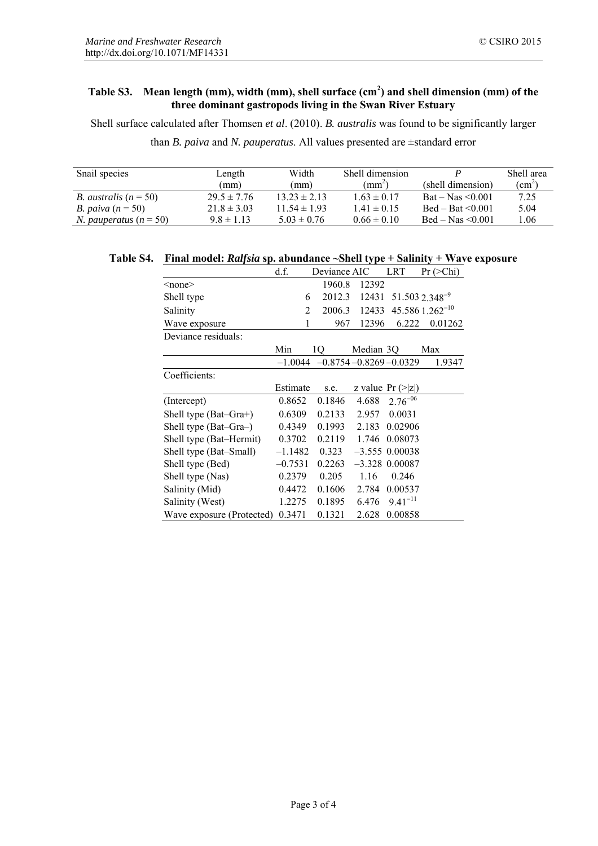## **Table S3. Mean length (mm), width (mm), shell surface (cm<sup>2</sup> ) and shell dimension (mm) of the three dominant gastropods living in the Swan River Estuary**

Shell surface calculated after Thomsen *et al*. (2010). *B. australis* was found to be significantly larger

than *B. paiva* and *N. pauperatus*. All values presented are ±standard error

| Snail species                   | Length          | Width            | Shell dimension |                                      | Shell area              |
|---------------------------------|-----------------|------------------|-----------------|--------------------------------------|-------------------------|
|                                 | (mm)            | (mm)             | $(mm^2)$        | (shell dimension)                    | $\text{ (cm}^2\text{)}$ |
| <i>B. australis</i> $(n = 50)$  | $29.5 \pm 7.76$ | $13.23 \pm 2.13$ | $1.63 \pm 0.17$ | $\text{Bat} - \text{Nas} \leq 0.001$ | 7.25                    |
| <i>B.</i> paiva $(n = 50)$      | $21.8 \pm 3.03$ | $11.54 \pm 1.93$ | $1.41 \pm 0.15$ | $Bed - Bat < 0.001$                  | 5.04                    |
| <i>N. pauperatus</i> $(n = 50)$ | $9.8 \pm 1.13$  | $5.03 \pm 0.76$  | $0.66 \pm 0.10$ | $\text{Bed} - \text{Mas} \leq 0.001$ | l.06                    |

|  | Table S4. Final model: Ralfsia sp. abundance ~Shell type + Salinity + Wave exposure |
|--|-------------------------------------------------------------------------------------|
|--|-------------------------------------------------------------------------------------|

|                           | d.f.           | Deviance AIC |           | LRT                           | Pr (>Chi)                  |
|---------------------------|----------------|--------------|-----------|-------------------------------|----------------------------|
| $none$                    |                | 1960.8       | 12392     |                               |                            |
| Shell type                | 6              | 2012.3       | 12431     |                               | 51.503 2.348 <sup>-9</sup> |
| Salinity                  | $\overline{2}$ | 2006.3       | 12433     |                               | $45.586$ $1.262^{-10}$     |
| Wave exposure             | 1              | 967          | 12396     | 6.222                         | 0.01262                    |
| Deviance residuals:       |                |              |           |                               |                            |
|                           | Min            | 10           | Median 3Q |                               | Max                        |
|                           | $-1.0044$      |              |           | $-0.8754 - 0.8269 - 0.0329$   | 1.9347                     |
| Coefficients:             |                |              |           |                               |                            |
|                           | Estimate       | s.e.         |           | z value $Pr (>\vert z \vert)$ |                            |
| (Intercept)               | 0.8652         | 0.1846       | 4.688     | $2.76^{-06}$                  |                            |
| Shell type (Bat–Gra+)     | 0.6309         | 0.2133       | 2.957     | 0.0031                        |                            |
| Shell type (Bat-Gra-)     | 0.4349         | 0.1993       | 2.183     | 0.02906                       |                            |
| Shell type (Bat–Hermit)   | 0.3702         | 0.2119       | 1.746     | 0.08073                       |                            |
| Shell type (Bat-Small)    | $-1.1482$      | 0.323        |           | $-3.555$ 0.00038              |                            |
| Shell type (Bed)          | $-0.7531$      | 0.2263       |           | $-3.328$ 0.00087              |                            |
| Shell type (Nas)          | 0.2379         | 0.205        | 1.16      | 0.246                         |                            |
| Salinity (Mid)            | 0.4472         | 0.1606       | 2.784     | 0.00537                       |                            |
| Salinity (West)           | 1.2275         | 0.1895       | 6.476     | $9.41^{-11}$                  |                            |
| Wave exposure (Protected) | 0.3471         | 0.1321       | 2.628     | 0.00858                       |                            |